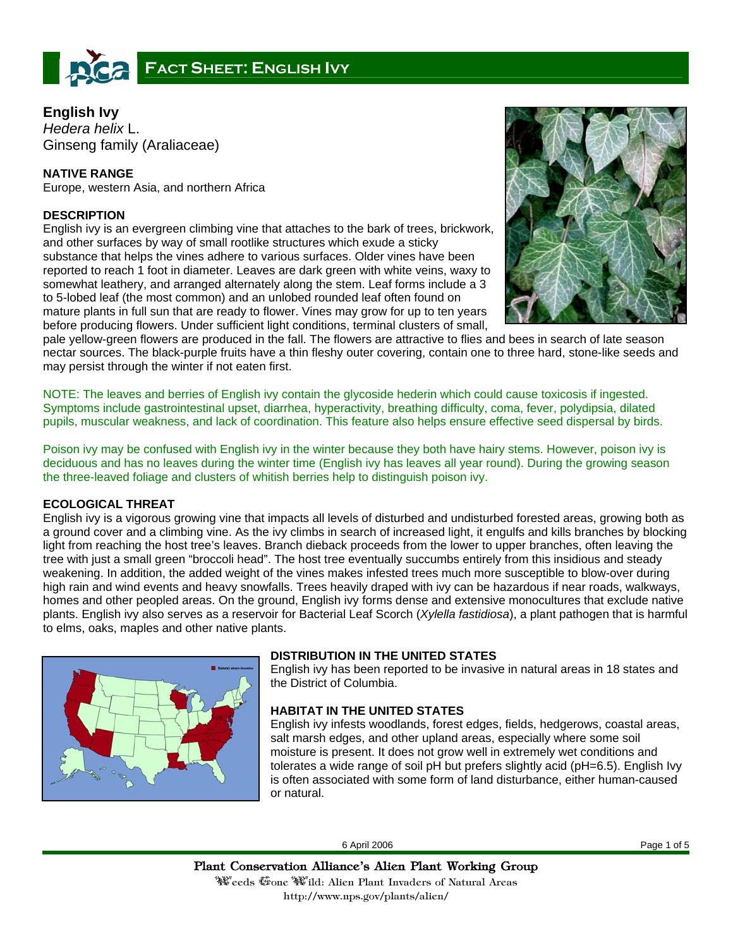

# **English Ivy**

*Hedera helix* L. Ginseng family (Araliaceae)

# **NATIVE RANGE**

Europe, western Asia, and northern Africa

# **DESCRIPTION**

English ivy is an evergreen climbing vine that attaches to the bark of trees, brickwork, and other surfaces by way of small rootlike structures which exude a sticky substance that helps the vines adhere to various surfaces. Older vines have been reported to reach 1 foot in diameter. Leaves are dark green with white veins, waxy to somewhat leathery, and arranged alternately along the stem. Leaf forms include a 3 to 5-lobed leaf (the most common) and an unlobed rounded leaf often found on mature plants in full sun that are ready to flower. Vines may grow for up to ten years before producing flowers. Under sufficient light conditions, terminal clusters of small,



pale yellow-green flowers are produced in the fall. The flowers are attractive to flies and bees in search of late season nectar sources. The black-purple fruits have a thin fleshy outer covering, contain one to three hard, stone-like seeds and may persist through the winter if not eaten first.

NOTE: The leaves and berries of English ivy contain the glycoside hederin which could cause toxicosis if ingested. Symptoms include gastrointestinal upset, diarrhea, hyperactivity, breathing difficulty, coma, fever, polydipsia, dilated pupils, muscular weakness, and lack of coordination. This feature also helps ensure effective seed dispersal by birds.

Poison ivy may be confused with English ivy in the winter because they both have hairy stems. However, poison ivy is deciduous and has no leaves during the winter time (English ivy has leaves all year round). During the growing season the three-leaved foliage and clusters of whitish berries help to distinguish poison ivy.

## **ECOLOGICAL THREAT**

English ivy is a vigorous growing vine that impacts all levels of disturbed and undisturbed forested areas, growing both as a ground cover and a climbing vine. As the ivy climbs in search of increased light, it engulfs and kills branches by blocking light from reaching the host tree's leaves. Branch dieback proceeds from the lower to upper branches, often leaving the tree with just a small green "broccoli head". The host tree eventually succumbs entirely from this insidious and steady weakening. In addition, the added weight of the vines makes infested trees much more susceptible to blow-over during high rain and wind events and heavy snowfalls. Trees heavily draped with ivy can be hazardous if near roads, walkways, homes and other peopled areas. On the ground, English ivy forms dense and extensive monocultures that exclude native plants. English ivy also serves as a reservoir for Bacterial Leaf Scorch (*Xylella fastidiosa*), a plant pathogen that is harmful to elms, oaks, maples and other native plants.



## **DISTRIBUTION IN THE UNITED STATES**

English ivy has been reported to be invasive in natural areas in 18 states and the District of Columbia.

## **HABITAT IN THE UNITED STATES**

English ivy infests woodlands, forest edges, fields, hedgerows, coastal areas, salt marsh edges, and other upland areas, especially where some soil moisture is present. It does not grow well in extremely wet conditions and tolerates a wide range of soil pH but prefers slightly acid (pH=6.5). English Ivy is often associated with some form of land disturbance, either human-caused or natural.

6 April 2006 Page 1 of 5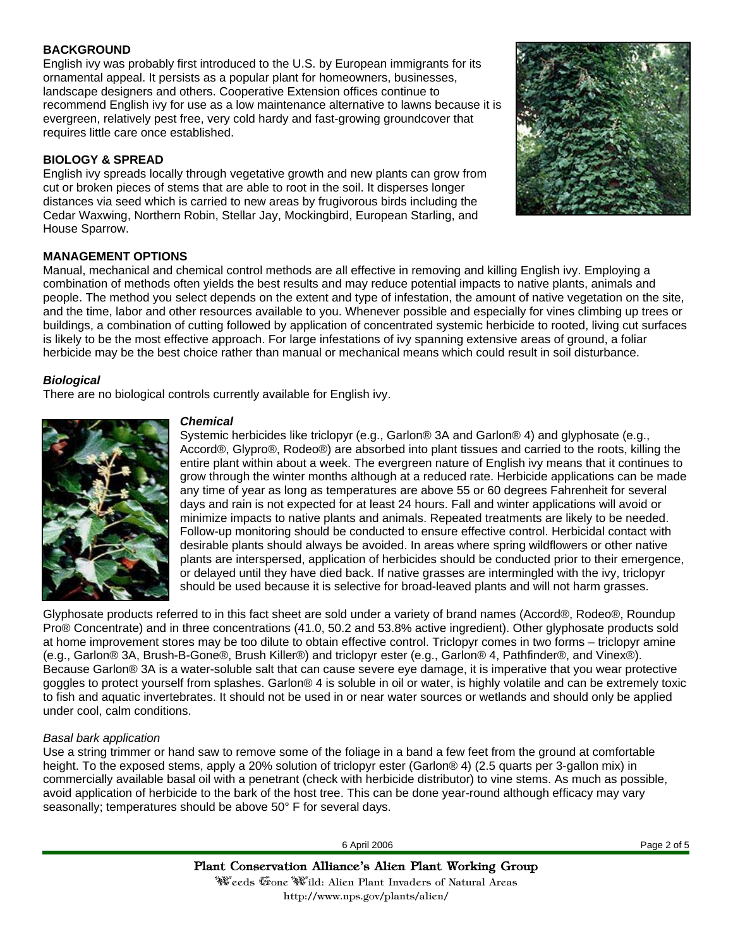#### **BACKGROUND**

English ivy was probably first introduced to the U.S. by European immigrants for its ornamental appeal. It persists as a popular plant for homeowners, businesses, landscape designers and others. Cooperative Extension offices continue to recommend English ivy for use as a low maintenance alternative to lawns because it is evergreen, relatively pest free, very cold hardy and fast-growing groundcover that requires little care once established.

## **BIOLOGY & SPREAD**

English ivy spreads locally through vegetative growth and new plants can grow from cut or broken pieces of stems that are able to root in the soil. It disperses longer distances via seed which is carried to new areas by frugivorous birds including the Cedar Waxwing, Northern Robin, Stellar Jay, Mockingbird, European Starling, and House Sparrow.



## **MANAGEMENT OPTIONS**

Manual, mechanical and chemical control methods are all effective in removing and killing English ivy. Employing a combination of methods often yields the best results and may reduce potential impacts to native plants, animals and people. The method you select depends on the extent and type of infestation, the amount of native vegetation on the site, and the time, labor and other resources available to you. Whenever possible and especially for vines climbing up trees or buildings, a combination of cutting followed by application of concentrated systemic herbicide to rooted, living cut surfaces is likely to be the most effective approach. For large infestations of ivy spanning extensive areas of ground, a foliar herbicide may be the best choice rather than manual or mechanical means which could result in soil disturbance.

#### *Biological*

There are no biological controls currently available for English ivy.



#### *Chemical*

Systemic herbicides like triclopyr (e.g., Garlon® 3A and Garlon® 4) and glyphosate (e.g., Accord®, Glypro®, Rodeo®) are absorbed into plant tissues and carried to the roots, killing the entire plant within about a week. The evergreen nature of English ivy means that it continues to grow through the winter months although at a reduced rate. Herbicide applications can be made any time of year as long as temperatures are above 55 or 60 degrees Fahrenheit for several days and rain is not expected for at least 24 hours. Fall and winter applications will avoid or minimize impacts to native plants and animals. Repeated treatments are likely to be needed. Follow-up monitoring should be conducted to ensure effective control. Herbicidal contact with desirable plants should always be avoided. In areas where spring wildflowers or other native plants are interspersed, application of herbicides should be conducted prior to their emergence, or delayed until they have died back. If native grasses are intermingled with the ivy, triclopyr should be used because it is selective for broad-leaved plants and will not harm grasses.

Glyphosate products referred to in this fact sheet are sold under a variety of brand names (Accord®, Rodeo®, Roundup Pro® Concentrate) and in three concentrations (41.0, 50.2 and 53.8% active ingredient). Other glyphosate products sold at home improvement stores may be too dilute to obtain effective control. Triclopyr comes in two forms – triclopyr amine (e.g., Garlon® 3A, Brush-B-Gone®, Brush Killer®) and triclopyr ester (e.g., Garlon® 4, Pathfinder®, and Vinex®). Because Garlon® 3A is a water-soluble salt that can cause severe eye damage, it is imperative that you wear protective goggles to protect yourself from splashes. Garlon® 4 is soluble in oil or water, is highly volatile and can be extremely toxic to fish and aquatic invertebrates. It should not be used in or near water sources or wetlands and should only be applied under cool, calm conditions.

## *Basal bark application*

Use a string trimmer or hand saw to remove some of the foliage in a band a few feet from the ground at comfortable height. To the exposed stems, apply a 20% solution of triclopyr ester (Garlon® 4) (2.5 quarts per 3-gallon mix) in commercially available basal oil with a penetrant (check with herbicide distributor) to vine stems. As much as possible, avoid application of herbicide to the bark of the host tree. This can be done year-round although efficacy may vary seasonally; temperatures should be above 50° F for several days.

6 April 2006 Page 2 of 5

http://www.nps.gov/plants/alien/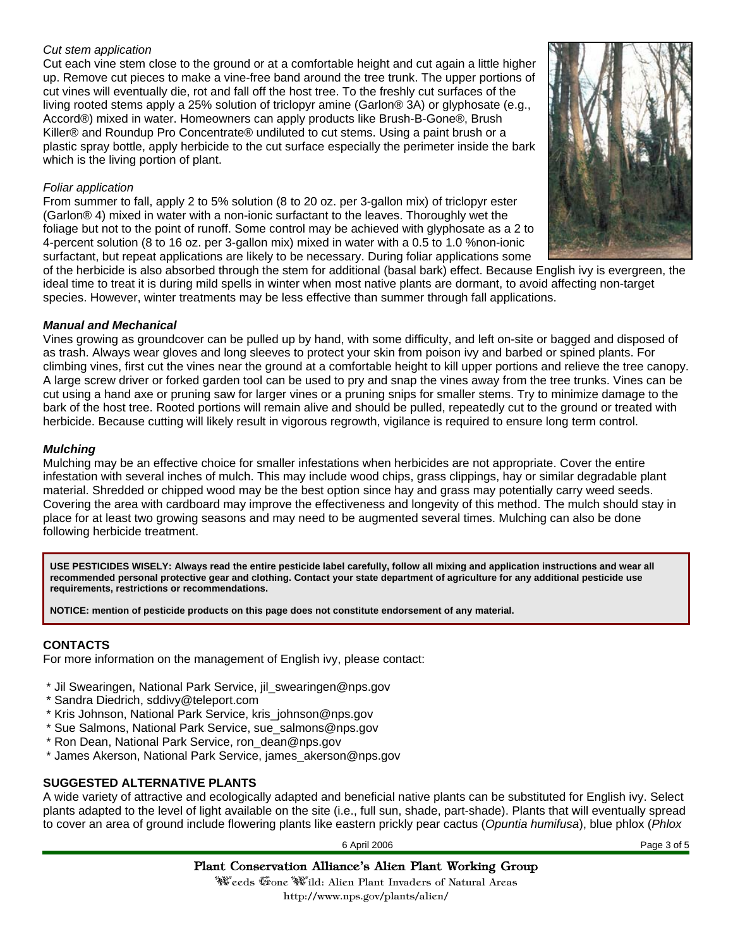## *Cut stem application*

Cut each vine stem close to the ground or at a comfortable height and cut again a little higher up. Remove cut pieces to make a vine-free band around the tree trunk. The upper portions of cut vines will eventually die, rot and fall off the host tree. To the freshly cut surfaces of the living rooted stems apply a 25% solution of triclopyr amine (Garlon® 3A) or glyphosate (e.g., Accord®) mixed in water. Homeowners can apply products like Brush-B-Gone®, Brush Killer® and Roundup Pro Concentrate® undiluted to cut stems. Using a paint brush or a plastic spray bottle, apply herbicide to the cut surface especially the perimeter inside the bark which is the living portion of plant.

#### *Foliar application*

From summer to fall, apply 2 to 5% solution (8 to 20 oz. per 3-gallon mix) of triclopyr ester (Garlon® 4) mixed in water with a non-ionic surfactant to the leaves. Thoroughly wet the foliage but not to the point of runoff. Some control may be achieved with glyphosate as a 2 to 4-percent solution (8 to 16 oz. per 3-gallon mix) mixed in water with a 0.5 to 1.0 %non-ionic surfactant, but repeat applications are likely to be necessary. During foliar applications some



of the herbicide is also absorbed through the stem for additional (basal bark) effect. Because English ivy is evergreen, the ideal time to treat it is during mild spells in winter when most native plants are dormant, to avoid affecting non-target species. However, winter treatments may be less effective than summer through fall applications.

## *Manual and Mechanical*

Vines growing as groundcover can be pulled up by hand, with some difficulty, and left on-site or bagged and disposed of as trash. Always wear gloves and long sleeves to protect your skin from poison ivy and barbed or spined plants. For climbing vines, first cut the vines near the ground at a comfortable height to kill upper portions and relieve the tree canopy. A large screw driver or forked garden tool can be used to pry and snap the vines away from the tree trunks. Vines can be cut using a hand axe or pruning saw for larger vines or a pruning snips for smaller stems. Try to minimize damage to the bark of the host tree. Rooted portions will remain alive and should be pulled, repeatedly cut to the ground or treated with herbicide. Because cutting will likely result in vigorous regrowth, vigilance is required to ensure long term control.

#### *Mulching*

Mulching may be an effective choice for smaller infestations when herbicides are not appropriate. Cover the entire infestation with several inches of mulch. This may include wood chips, grass clippings, hay or similar degradable plant material. Shredded or chipped wood may be the best option since hay and grass may potentially carry weed seeds. Covering the area with cardboard may improve the effectiveness and longevity of this method. The mulch should stay in place for at least two growing seasons and may need to be augmented several times. Mulching can also be done following herbicide treatment.

**USE PESTICIDES WISELY: Always read the entire pesticide label carefully, follow all mixing and application instructions and wear all recommended personal protective gear and clothing. Contact your state department of agriculture for any additional pesticide use requirements, restrictions or recommendations.** 

**NOTICE: mention of pesticide products on this page does not constitute endorsement of any material.**

# **CONTACTS**

For more information on the management of English ivy, please contact:

- \* Jil Swearingen, National Park Service, jil\_swearingen@nps.gov
- \* Sandra Diedrich, sddivy@teleport.com
- \* Kris Johnson, National Park Service, kris\_johnson@nps.gov
- \* Sue Salmons, National Park Service, sue\_salmons@nps.gov
- \* Ron Dean, National Park Service, ron\_dean@nps.gov
- \* James Akerson, National Park Service, james\_akerson@nps.gov

## **SUGGESTED ALTERNATIVE PLANTS**

A wide variety of attractive and ecologically adapted and beneficial native plants can be substituted for English ivy. Select plants adapted to the level of light available on the site (i.e., full sun, shade, part-shade). Plants that will eventually spread to cover an area of ground include flowering plants like eastern prickly pear cactus (*Opuntia humifusa*), blue phlox (*Phlox* 

6 April 2006 Page 3 of 5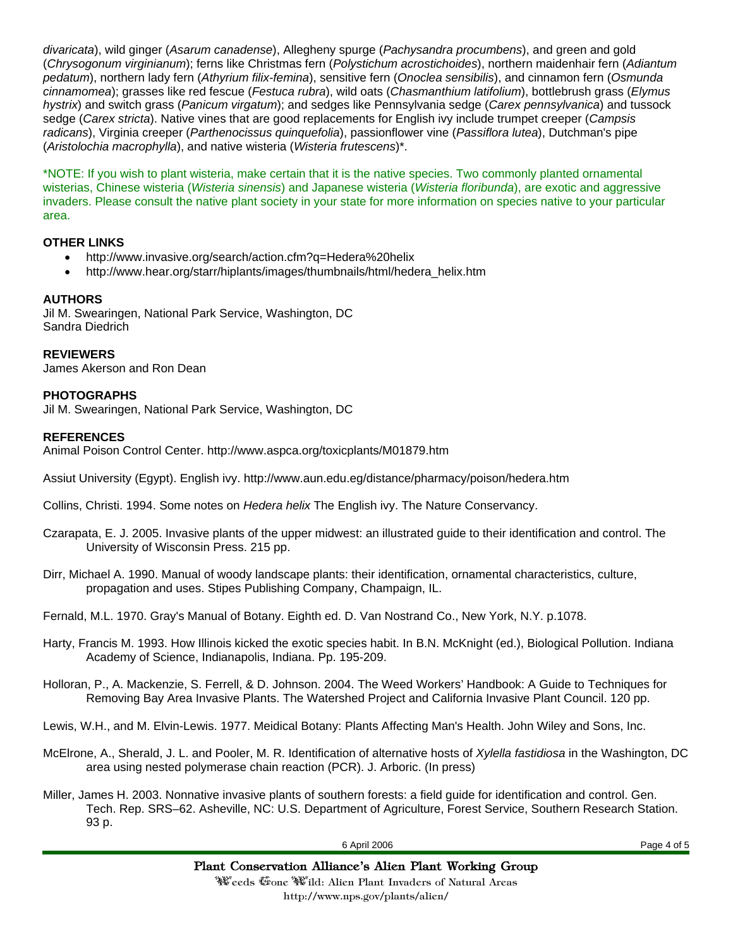*divaricata*), wild ginger (*Asarum canadense*), Allegheny spurge (*Pachysandra procumbens*), and green and gold (*Chrysogonum virginianum*); ferns like Christmas fern (*Polystichum acrostichoides*), northern maidenhair fern (*Adiantum pedatum*), northern lady fern (*Athyrium filix-femina*), sensitive fern (*Onoclea sensibilis*), and cinnamon fern (*Osmunda cinnamomea*); grasses like red fescue (*Festuca rubra*), wild oats (*Chasmanthium latifolium*), bottlebrush grass (*Elymus hystrix*) and switch grass (*Panicum virgatum*); and sedges like Pennsylvania sedge (*Carex pennsylvanica*) and tussock sedge (*Carex stricta*). Native vines that are good replacements for English ivy include trumpet creeper (*Campsis radicans*), Virginia creeper (*Parthenocissus quinquefolia*), passionflower vine (*Passiflora lutea*), Dutchman's pipe (*Aristolochia macrophylla*), and native wisteria (*Wisteria frutescens*)\*.

\*NOTE: If you wish to plant wisteria, make certain that it is the native species. Two commonly planted ornamental wisterias, Chinese wisteria (*Wisteria sinensis*) and Japanese wisteria (*Wisteria floribunda*), are exotic and aggressive invaders. Please consult the native plant society in your state for more information on species native to your particular area.

## **OTHER LINKS**

- http://www.invasive.org/search/action.cfm?q=Hedera%20helix
- http://www.hear.org/starr/hiplants/images/thumbnails/html/hedera\_helix.htm

# **AUTHORS**

Jil M. Swearingen, National Park Service, Washington, DC Sandra Diedrich

**REVIEWERS** James Akerson and Ron Dean

## **PHOTOGRAPHS**

Jil M. Swearingen, National Park Service, Washington, DC

## **REFERENCES**

Animal Poison Control Center. http://www.aspca.org/toxicplants/M01879.htm

Assiut University (Egypt). English ivy. http://www.aun.edu.eg/distance/pharmacy/poison/hedera.htm

Collins, Christi. 1994. Some notes on *Hedera helix* The English ivy. The Nature Conservancy.

- Czarapata, E. J. 2005. Invasive plants of the upper midwest: an illustrated guide to their identification and control. The University of Wisconsin Press. 215 pp.
- Dirr, Michael A. 1990. Manual of woody landscape plants: their identification, ornamental characteristics, culture, propagation and uses. Stipes Publishing Company, Champaign, IL.

Fernald, M.L. 1970. Gray's Manual of Botany. Eighth ed. D. Van Nostrand Co., New York, N.Y. p.1078.

- Harty, Francis M. 1993. How Illinois kicked the exotic species habit. In B.N. McKnight (ed.), Biological Pollution. Indiana Academy of Science, Indianapolis, Indiana. Pp. 195-209.
- Holloran, P., A. Mackenzie, S. Ferrell, & D. Johnson. 2004. The Weed Workers' Handbook: A Guide to Techniques for Removing Bay Area Invasive Plants. The Watershed Project and California Invasive Plant Council. 120 pp.

Lewis, W.H., and M. Elvin-Lewis. 1977. Meidical Botany: Plants Affecting Man's Health. John Wiley and Sons, Inc.

- McElrone, A., Sherald, J. L. and Pooler, M. R. Identification of alternative hosts of *Xylella fastidiosa* in the Washington, DC area using nested polymerase chain reaction (PCR). J. Arboric. (In press)
- Miller, James H. 2003. Nonnative invasive plants of southern forests: a field guide for identification and control. Gen. Tech. Rep. SRS–62. Asheville, NC: U.S. Department of Agriculture, Forest Service, Southern Research Station. 93 p.